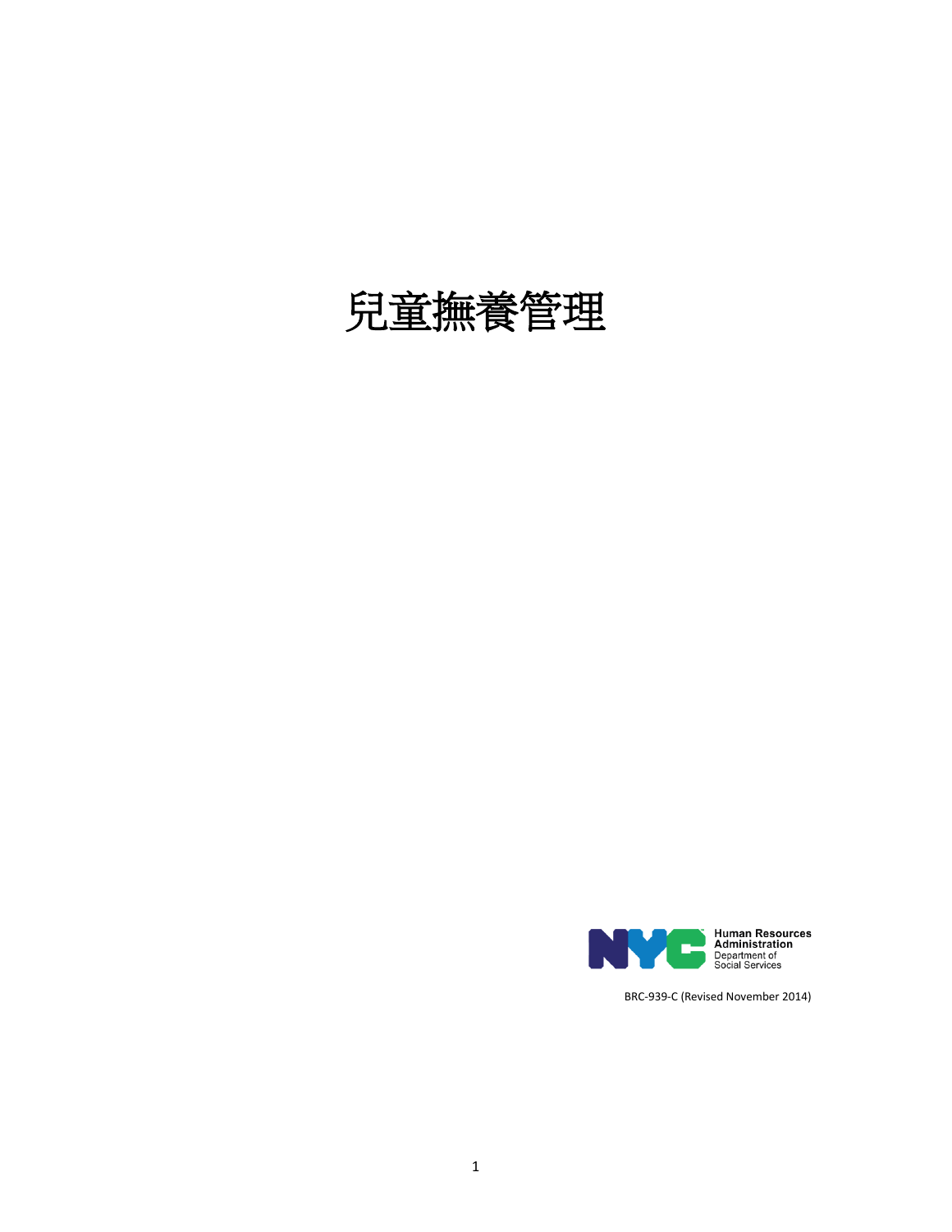# 兒童撫養管理



BRC-939-C (Revised November 2014)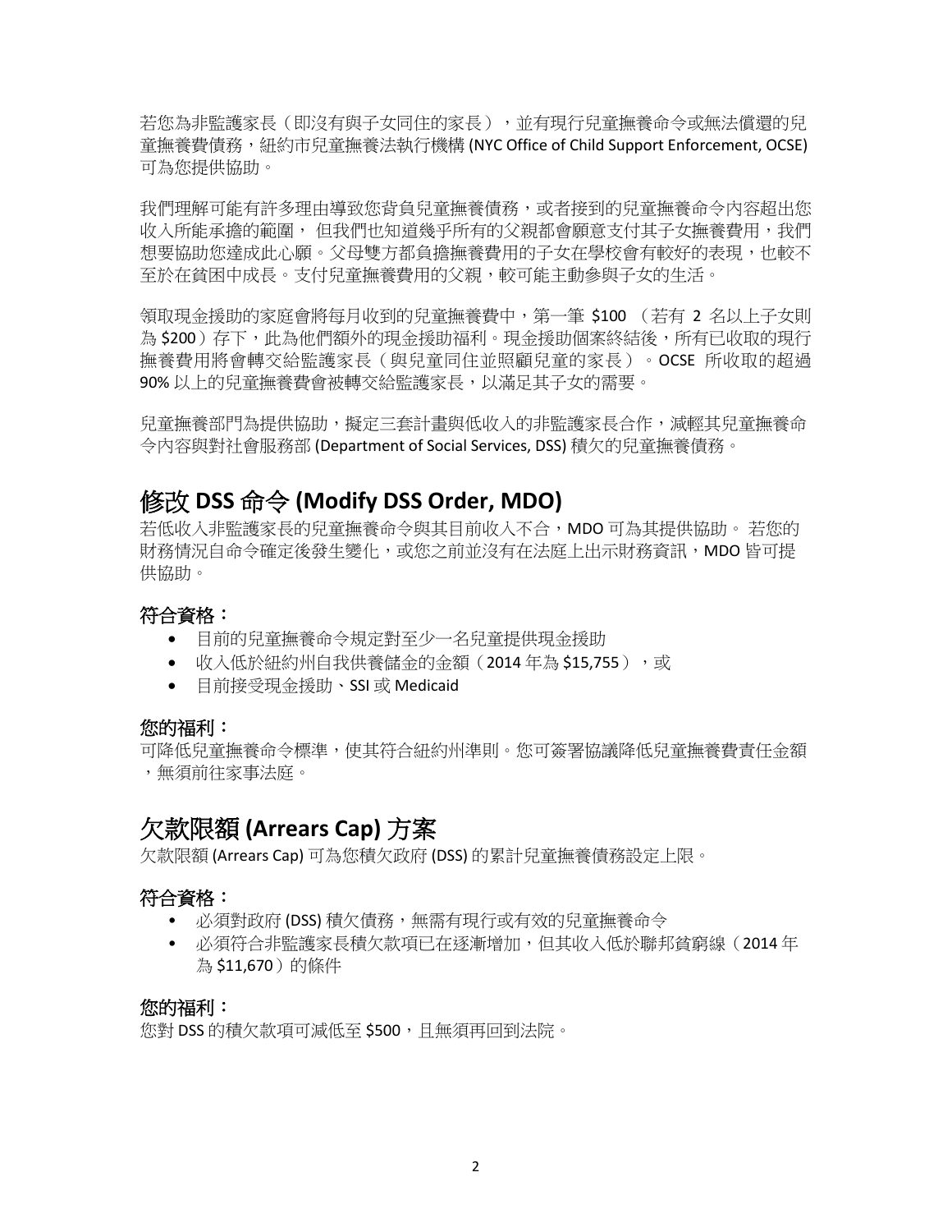若您為非監護家長(即沒有與子女同住的家長),並有現行兒童撫養命令或無法償還的兒 童撫養費債務,紐約市兒童撫養法執行機構 (NYC Office of Child Support Enforcement, OCSE) 可為您提供協助。

我們理解可能有許多理由導致您背負兒童撫養債務,或者接到的兒童撫養命令內容超出您 收入所能承擔的範圍, 但我們也知道幾乎所有的父親都會願意支付其子女撫養費用,我們 想要協助您達成此心願。父母雙方都負擔撫養費用的子女在學校會有較好的表現,也較不 至於在貧困中成長。支付兒童撫養費用的父親,較可能主動參與子女的生活。

領取現金援助的家庭會將每月收到的兒童撫養費中,第一筆 \$100 (若有 2 名以上子女則 為 \$200 )存下,此為他們額外的現金援助福利。現金援助個案終結後,所有已收取的現行 撫養費用將會轉交給監護家長(與兒童同住並照顧兒童的家長)。OCSE 所收取的超過 90% 以上的兒童撫養費會被轉交給監護家長,以滿足其子女的需要。

兒童撫養部門為提供協助,擬定三套計畫與低收入的非監護家長合作,減輕其兒童撫養命 令內容與對社會服務部 (Department of Social Services, DSS) 積欠的兒童撫養債務。

## 修改 **DSS** 命令 **(Modify DSS Order, MDO)**

若低收入非監護家長的兒童撫養命今與其目前收入不合,MDO 可為其提供協助。 若您的 財務情況自命令確定後發生變化,或您之前並沒有在法庭上出示財務資訊,MDO 皆可提 供協助。

## 符合資格:

- 目前的兒童撫養命令規定對至少一名兒童提供現金援助
- 收入低於紐約州自我供養儲金的金額 (2014年為 \$15,755), 或
- 目前接受現金援助、SSI 或 Medicaid

#### 您的福利:

可降低兒童撫養命令標準,使其符合紐約州準則。您可簽署協議降低兒童撫養費責任金額 ,無須前往家事法庭。

# 欠款限額 **(Arrears Cap)** 方案

欠款限額 (Arrears Cap) 可為您積欠政府 (DSS) 的累計兒童撫養債務設定上限。

## 符合資格:

- 必須對政府 (DSS) 積欠債務,無需有現行或有效的兒童撫養命令
- 必須符合非監護家長積欠款項已在逐漸增加,但其收入低於聯邦貧窮線(2014 年 為 \$11,670)的條件

#### 您的福利:

您對 DSS 的積欠款項可減低至 \$500,且無須再回到法院。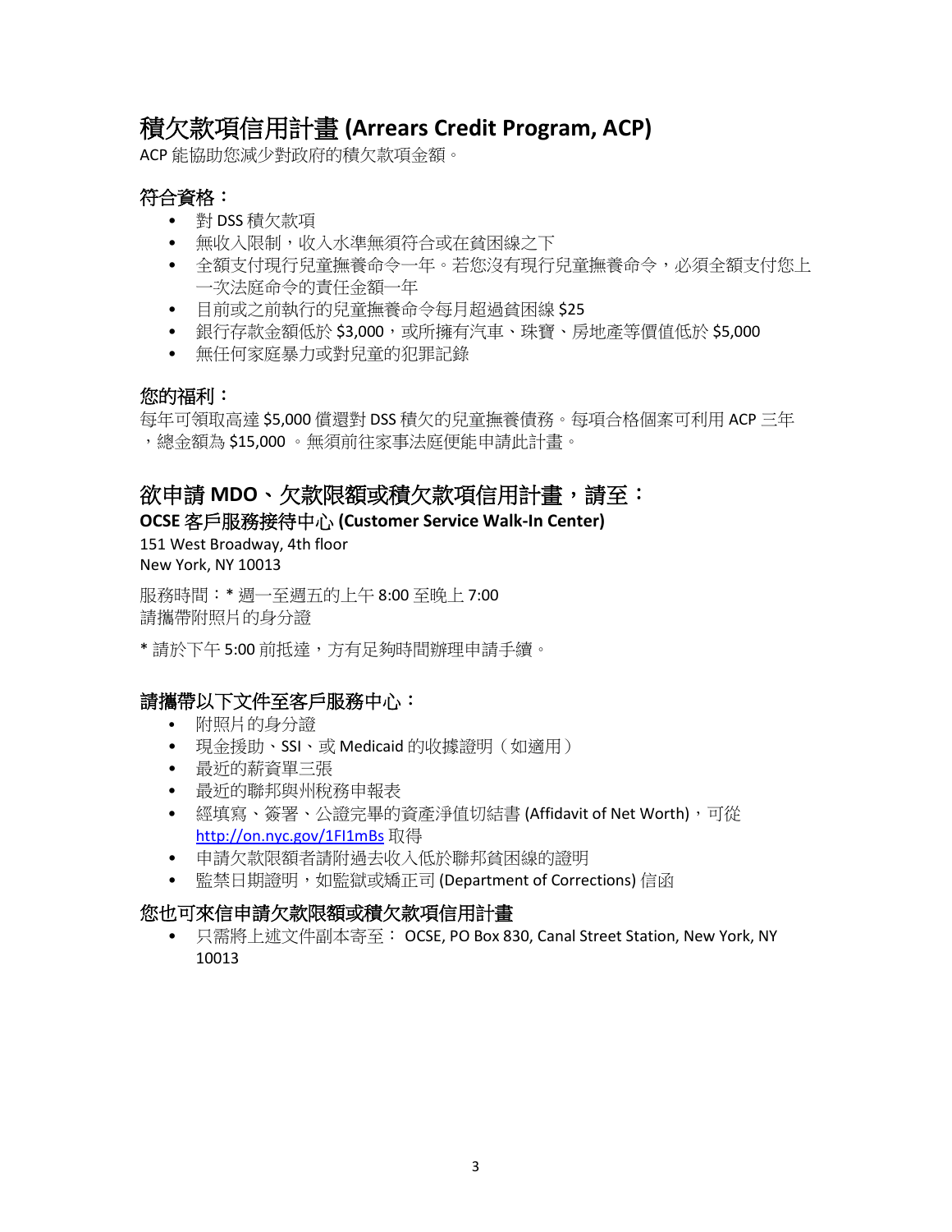# 積欠款項信用計畫 **(Arrears Credit Program, ACP)**

ACP 能協助您減少對政府的積欠款項金額。

## 符合資格:

- 對 DSS 積欠款項
- 無收入限制,收入水準無須符合或在貧困線之下
- 全額支付現行兒童撫養命令一年。若您沒有現行兒童撫養命令,必須全額支付您上 一次法庭命令的責任金額一年
- 目前或之前執行的兒童撫養命令每月超過貧困線 \$25
- 銀行存款金額低於 \$3,000,或所擁有汽車、珠寶、房地產等價值低於 \$5,000
- 無任何家庭暴力或對兒童的犯罪記錄

## 您的福利:

每年可領取高達 \$5,000 償還對 DSS 積欠的兒童撫養債務。每項合格個案可利用 ACP 三年 ,總金額為 \$15,000 。無須前往家事法庭便能申請此計畫。

## 欲申請 **MDO**、欠款限額或積欠款項信用計畫,請至:

### **OCSE** 客戶服務接待中心 **(Customer Service Walk-In Center)**

151 West Broadway, 4th floor New York, NY 10013

服務時間:\* 週一至週五的上午 8:00 至晚上 7:00 請攜帶附照片的身分證

\* 請於下午 5:00 前抵達,方有足夠時間辦理申請手續。

## 請攜帶以下文件至客戶服務中心:

- 附照片的身分證
- 現金援助、SSI、或 Medicaid 的收據證明(如適用)
- 最近的薪資單三張
- 最近的聯邦與州稅務申報表
- 經填寫、簽署、公證完畢的資產淨值切結書 (Affidavit of Net Worth),可從 <http://on.nyc.gov/1FI1mBs> 取得
- 申請欠款限額者請附過去收入低於聯邦貧困線的證明
- 監禁日期證明,如監獄或矯正司 (Department of Corrections) 信函

## 您也可來信申請欠款限額或積欠款項信用計畫

• 只需將上述文件副本寄至: OCSE, PO Box 830, Canal Street Station, New York, NY 10013